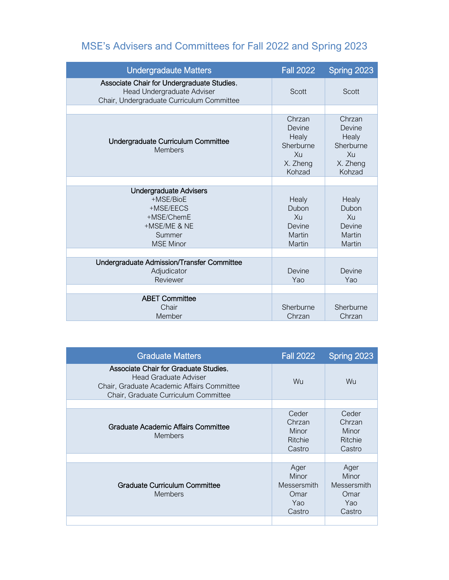# MSE's Advisers and Committees for Fall 2022 and Spring 2023

| <b>Undergradaute Matters</b>                                                                                          | <b>Fall 2022</b>                                                         | Spring 2023                                                              |
|-----------------------------------------------------------------------------------------------------------------------|--------------------------------------------------------------------------|--------------------------------------------------------------------------|
| Associate Chair for Undergraduate Studies,<br>Head Undergraduate Adviser<br>Chair, Undergraduate Curriculum Committee | Scott                                                                    | Scott                                                                    |
|                                                                                                                       |                                                                          |                                                                          |
| Undergraduate Curriculum Committee<br><b>Members</b>                                                                  | Chrzan<br>Devine<br>Healy<br>Sherburne<br>$X_{11}$<br>X. Zheng<br>Kohzad | Chrzan<br>Devine<br>Healy<br>Sherburne<br>$X_{11}$<br>X. Zheng<br>Kohzad |
|                                                                                                                       |                                                                          |                                                                          |
| <b>Undergraduate Advisers</b><br>+MSE/BioE<br>+MSE/EECS<br>+MSE/ChemE<br>+MSE/ME & NE<br>Summer<br><b>MSE Minor</b>   | Healy<br>Dubon<br>$X_{11}$<br>Devine<br>Martin<br>Martin                 | Healy<br>Dubon<br>Xu<br>Devine<br>Martin<br>Martin                       |
|                                                                                                                       |                                                                          |                                                                          |
| Undergraduate Admission/Transfer Committee<br>Adjudicator<br>Reviewer                                                 | Devine<br>Yao                                                            | Devine<br>Yao                                                            |
| <b>ABET Committee</b><br>Chair<br>Member                                                                              | Sherburne<br>Chrzan                                                      | Sherburne<br>Chrzan                                                      |

| <b>Graduate Matters</b>                                                                                                                              | <b>Fall 2022</b>                                      | Spring 2023                                            |
|------------------------------------------------------------------------------------------------------------------------------------------------------|-------------------------------------------------------|--------------------------------------------------------|
| Associate Chair for Graduate Studies,<br>Head Graduate Adviser<br>Chair, Graduate Academic Affairs Committee<br>Chair, Graduate Curriculum Committee | <b>Wu</b>                                             | Wu.                                                    |
|                                                                                                                                                      |                                                       |                                                        |
| Graduate Academic Affairs Committee<br><b>Members</b>                                                                                                | Ceder<br>Chrzan<br>Minor<br>Ritchie<br>Castro         | Ceder<br>Chrzan<br>Minor<br>Ritchie<br>Castro          |
|                                                                                                                                                      |                                                       |                                                        |
| Graduate Curriculum Committee<br><b>Members</b>                                                                                                      | Ager<br>Minor<br>Messersmith<br>Omar<br>Yao<br>Castro | Ager<br>Minor<br>Messersmith<br>Omar<br>Yao.<br>Castro |
|                                                                                                                                                      |                                                       |                                                        |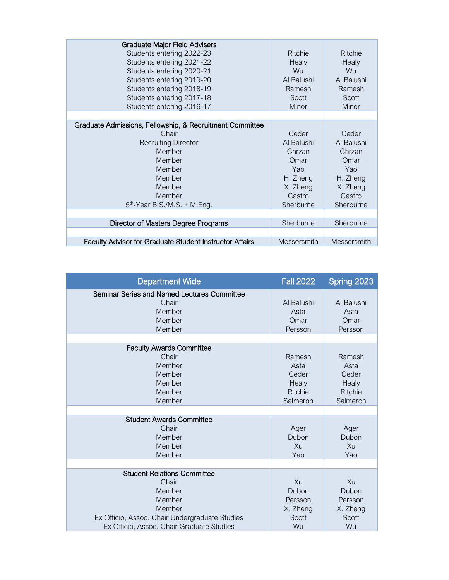| <b>Graduate Major Field Advisers</b><br>Students entering 2022-23<br>Students entering 2021-22<br>Students entering 2020-21<br>Students entering 2019-20<br>Students entering 2018-19<br>Students entering 2017-18<br>Students entering 2016-17 | <b>Ritchie</b><br>Healy<br><b>Wu</b><br>Al Balushi<br>Ramesh<br>Scott<br>Minor              | <b>Ritchie</b><br>Healy<br>Wu<br>Al Balushi<br>Ramesh<br>Scott<br>Minor                     |
|-------------------------------------------------------------------------------------------------------------------------------------------------------------------------------------------------------------------------------------------------|---------------------------------------------------------------------------------------------|---------------------------------------------------------------------------------------------|
|                                                                                                                                                                                                                                                 |                                                                                             |                                                                                             |
| Graduate Admissions, Fellowship, & Recruitment Committee<br>Chair<br><b>Recruiting Director</b><br>Member<br>Member<br>Member<br>Member<br>Member<br>Member<br>$5th$ -Year B.S./M.S. + M.Eng.                                                   | Ceder<br>Al Balushi<br>Chrzan<br>Omar<br>Yao<br>H. Zheng<br>X. Zheng<br>Castro<br>Sherburne | Ceder<br>Al Balushi<br>Chrzan<br>Omar<br>Yao<br>H. Zheng<br>X. Zheng<br>Castro<br>Sherburne |
|                                                                                                                                                                                                                                                 |                                                                                             |                                                                                             |
| Director of Masters Degree Programs                                                                                                                                                                                                             | Sherburne                                                                                   | Sherburne                                                                                   |
|                                                                                                                                                                                                                                                 |                                                                                             |                                                                                             |
| <b>Faculty Advisor for Graduate Student Instructor Affairs</b>                                                                                                                                                                                  | Messersmith                                                                                 | Messersmith                                                                                 |

| <b>Department Wide</b>                                                                                                                                                   | <b>Fall 2022</b>                                               | Spring 2023                                                    |
|--------------------------------------------------------------------------------------------------------------------------------------------------------------------------|----------------------------------------------------------------|----------------------------------------------------------------|
| Seminar Series and Named Lectures Committee<br>Chair<br>Member<br>Member<br>Member                                                                                       | Al Balushi<br>Asta<br>Omar<br>Persson                          | Al Balushi<br>Asta<br>Omar<br>Persson                          |
| <b>Faculty Awards Committee</b><br>Chair<br>Member<br>Member<br>Member<br>Member<br>Member                                                                               | Ramesh<br>Asta<br>Ceder<br>Healy<br><b>Ritchie</b><br>Salmeron | Ramesh<br>Asta<br>Ceder<br>Healy<br><b>Ritchie</b><br>Salmeron |
| <b>Student Awards Committee</b><br>Chair<br>Member<br>Member<br>Member                                                                                                   | Ager<br>Dubon<br>Xu<br>Yao                                     | Ager<br>Dubon<br>Xu<br>Yao                                     |
| <b>Student Relations Committee</b><br>Chair<br>Member<br>Member<br>Member<br>Ex Officio, Assoc. Chair Undergraduate Studies<br>Ex Officio, Assoc. Chair Graduate Studies | Xu<br>Dubon<br>Persson<br>X. Zheng<br>Scott<br>Wu              | Xu<br>Dubon<br>Persson<br>X. Zheng<br>Scott<br>Wu              |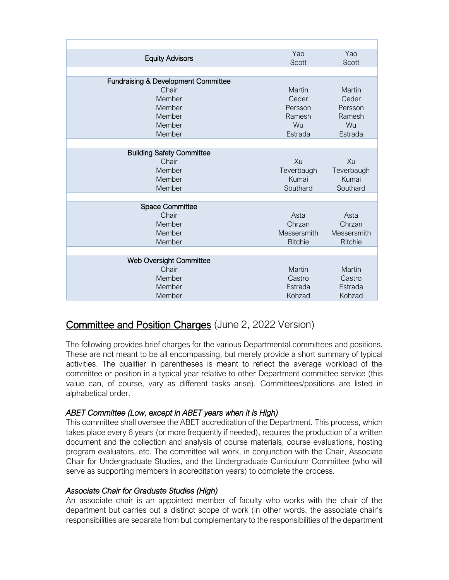| <b>Equity Advisors</b>                                                  | Yao<br>Scott                                    | Yao<br>Scott                                    |
|-------------------------------------------------------------------------|-------------------------------------------------|-------------------------------------------------|
|                                                                         |                                                 |                                                 |
| <b>Fundraising &amp; Development Committee</b><br>Chair                 | Martin                                          | Martin                                          |
| Member                                                                  | Ceder                                           | Ceder                                           |
| Member                                                                  | Persson                                         | Persson                                         |
| Member                                                                  | Ramesh                                          | Ramesh                                          |
| Member                                                                  | Wu                                              | Wu                                              |
| Member                                                                  | Estrada                                         | Estrada                                         |
|                                                                         |                                                 |                                                 |
| <b>Building Safety Committee</b><br>Chair<br>Member<br>Member<br>Member | Xu<br>Teverbaugh<br>Kumai<br>Southard           | Xu<br>Teverbaugh<br>Kumai<br>Southard           |
| <b>Space Committee</b>                                                  |                                                 |                                                 |
| Chair<br>Member<br>Member<br>Member                                     | Asta<br>Chrzan<br>Messersmith<br><b>Ritchie</b> | Asta<br>Chrzan<br>Messersmith<br><b>Ritchie</b> |
|                                                                         |                                                 |                                                 |
| <b>Web Oversight Committee</b><br>Chair<br>Member<br>Member<br>Member   | Martin<br>Castro<br>Estrada<br>Kohzad           | Martin<br>Castro<br>Estrada<br>Kohzad           |
|                                                                         |                                                 |                                                 |

# Committee and Position Charges (June 2, 2022 Version)

The following provides brief charges for the various Departmental committees and positions. These are not meant to be all encompassing, but merely provide a short summary of typical activities. The qualifier in parentheses is meant to reflect the average workload of the committee or position in a typical year relative to other Department committee service (this value can, of course, vary as different tasks arise). Committees/positions are listed in alphabetical order.

# *ABET Committee (Low, except in ABET years when it is High)*

This committee shall oversee the ABET accreditation of the Department. This process, which takes place every 6 years (or more frequently if needed), requires the production of a written document and the collection and analysis of course materials, course evaluations, hosting program evaluators, etc. The committee will work, in conjunction with the Chair, Associate Chair for Undergraduate Studies, and the Undergraduate Curriculum Committee (who will serve as supporting members in accreditation years) to complete the process.

#### *Associate Chair for Graduate Studies (High)*

An associate chair is an appointed member of faculty who works with the chair of the department but carries out a distinct scope of work (in other words, the associate chair's responsibilities are separate from but complementary to the responsibilities of the department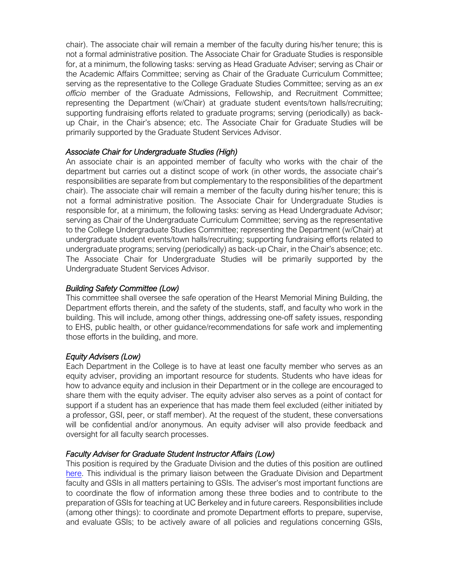chair). The associate chair will remain a member of the faculty during his/her tenure; this is not a formal administrative position. The Associate Chair for Graduate Studies is responsible for, at a minimum, the following tasks: serving as Head Graduate Adviser; serving as Chair or the Academic Affairs Committee; serving as Chair of the Graduate Curriculum Committee; serving as the representative to the College Graduate Studies Committee; serving as an *ex officio* member of the Graduate Admissions, Fellowship, and Recruitment Committee; representing the Department (w/Chair) at graduate student events/town halls/recruiting; supporting fundraising efforts related to graduate programs; serving (periodically) as backup Chair, in the Chair's absence; etc. The Associate Chair for Graduate Studies will be primarily supported by the Graduate Student Services Advisor.

### *Associate Chair for Undergraduate Studies (High)*

An associate chair is an appointed member of faculty who works with the chair of the department but carries out a distinct scope of work (in other words, the associate chair's responsibilities are separate from but complementary to the responsibilities of the department chair). The associate chair will remain a member of the faculty during his/her tenure; this is not a formal administrative position. The Associate Chair for Undergraduate Studies is responsible for, at a minimum, the following tasks: serving as Head Undergraduate Advisor; serving as Chair of the Undergraduate Curriculum Committee; serving as the representative to the College Undergraduate Studies Committee; representing the Department (w/Chair) at undergraduate student events/town halls/recruiting; supporting fundraising efforts related to undergraduate programs; serving (periodically) as back-up Chair, in the Chair's absence; etc. The Associate Chair for Undergraduate Studies will be primarily supported by the Undergraduate Student Services Advisor.

#### *Building Safety Committee (Low)*

This committee shall oversee the safe operation of the Hearst Memorial Mining Building, the Department efforts therein, and the safety of the students, staff, and faculty who work in the building. This will include, among other things, addressing one-off safety issues, responding to EHS, public health, or other guidance/recommendations for safe work and implementing those efforts in the building, and more.

# *Equity Advisers (Low)*

Each Department in the College is to have at least one faculty member who serves as an equity adviser, providing an important resource for students. Students who have ideas for how to advance equity and inclusion in their Department or in the college are encouraged to share them with the equity adviser. The equity adviser also serves as a point of contact for support if a student has an experience that has made them feel excluded (either initiated by a professor, GSI, peer, or staff member). At the request of the student, these conversations will be confidential and/or anonymous. An equity adviser will also provide feedback and oversight for all faculty search processes.

#### *Faculty Adviser for Graduate Student Instructor Affairs (Low)*

This position is required by the Graduate Division and the duties of this position are outlined [here.](https://gsi.berkeley.edu/faculty-departments/advisors-for-gsi-affairs/role-responsibility/) This individual is the primary liaison between the Graduate Division and Department faculty and GSIs in all matters pertaining to GSIs. The adviser's most important functions are to coordinate the flow of information among these three bodies and to contribute to the preparation of GSIs for teaching at UC Berkeley and in future careers. Responsibilities include (among other things): to coordinate and promote Department efforts to prepare, supervise, and evaluate GSIs; to be actively aware of all policies and regulations concerning GSIs,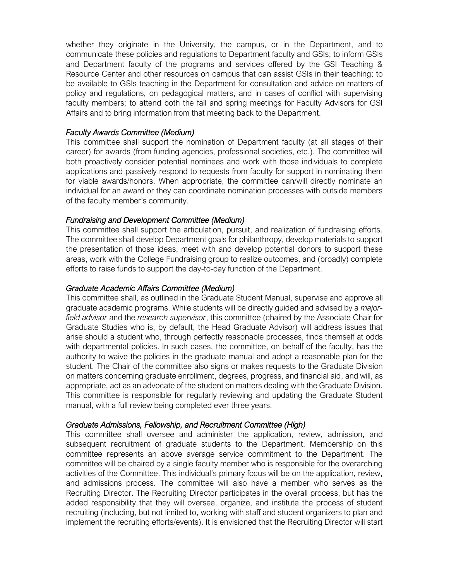whether they originate in the University, the campus, or in the Department, and to communicate these policies and regulations to Department faculty and GSIs; to inform GSIs and Department faculty of the programs and services offered by the GSI Teaching & Resource Center and other resources on campus that can assist GSIs in their teaching; to be available to GSIs teaching in the Department for consultation and advice on matters of policy and regulations, on pedagogical matters, and in cases of conflict with supervising faculty members; to attend both the fall and spring meetings for Faculty Advisors for GSI Affairs and to bring information from that meeting back to the Department.

#### *Faculty Awards Committee (Medium)*

This committee shall support the nomination of Department faculty (at all stages of their career) for awards (from funding agencies, professional societies, etc.). The committee will both proactively consider potential nominees and work with those individuals to complete applications and passively respond to requests from faculty for support in nominating them for viable awards/honors. When appropriate, the committee can/will directly nominate an individual for an award or they can coordinate nomination processes with outside members of the faculty member's community.

#### *Fundraising and Development Committee (Medium)*

This committee shall support the articulation, pursuit, and realization of fundraising efforts. The committee shall develop Department goals for philanthropy, develop materials to support the presentation of those ideas, meet with and develop potential donors to support these areas, work with the College Fundraising group to realize outcomes, and (broadly) complete efforts to raise funds to support the day-to-day function of the Department.

#### *Graduate Academic Affairs Committee (Medium)*

This committee shall, as outlined in the Graduate Student Manual, supervise and approve all graduate academic programs. While students will be directly guided and advised by a *majorfield advisor* and the *research supervisor*, this committee (chaired by the Associate Chair for Graduate Studies who is, by default, the Head Graduate Advisor) will address issues that arise should a student who, through perfectly reasonable processes, finds themself at odds with departmental policies. In such cases, the committee, on behalf of the faculty, has the authority to waive the policies in the graduate manual and adopt a reasonable plan for the student. The Chair of the committee also signs or makes requests to the Graduate Division on matters concerning graduate enrollment, degrees, progress, and financial aid, and will, as appropriate, act as an advocate of the student on matters dealing with the Graduate Division. This committee is responsible for regularly reviewing and updating the Graduate Student manual, with a full review being completed ever three years.

#### *Graduate Admissions, Fellowship, and Recruitment Committee (High)*

This committee shall oversee and administer the application, review, admission, and subsequent recruitment of graduate students to the Department. Membership on this committee represents an above average service commitment to the Department. The committee will be chaired by a single faculty member who is responsible for the overarching activities of the Committee. This individual's primary focus will be on the application, review, and admissions process. The committee will also have a member who serves as the Recruiting Director. The Recruiting Director participates in the overall process, but has the added responsibility that they will oversee, organize, and institute the process of student recruiting (including, but not limited to, working with staff and student organizers to plan and implement the recruiting efforts/events). It is envisioned that the Recruiting Director will start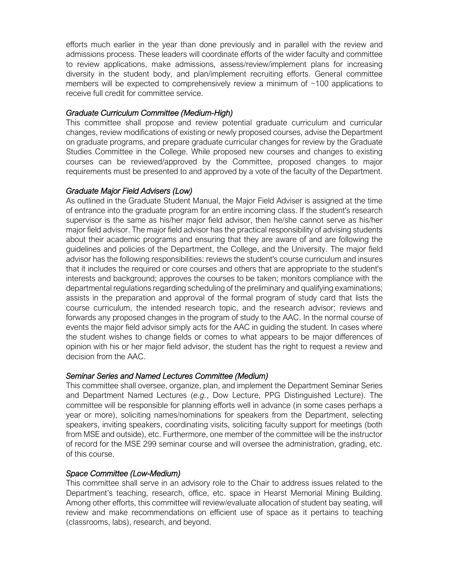efforts much earlier in the year than done previously and in parallel with the review and admissions process. These leaders will coordinate efforts of the wider faculty and committee to review applications, make admissions, assess/review/implement plans for increasing diversity in the student body, and plan/implement recruiting efforts. General committee members will be expected to comprehensively review a minimum of  $\sim$ 100 applications to receive full credit for committee service.

# *Graduate Curriculum Committee (Medium-High)*

This committee shall propose and review potential graduate curriculum and curricular changes, review modifications of existing or newly proposed courses, advise the Department on graduate programs, and prepare graduate curricular changes for review by the Graduate Studies Committee in the College. While proposed new courses and changes to existing courses can be reviewed/approved by the Committee, proposed changes to major requirements must be presented to and approved by a vote of the faculty of the Department.

### *Graduate Major Field Advisers (Low)*

As outlined in the Graduate Student Manual, the Major Field Adviser is assigned at the time of entrance into the graduate program for an entire incoming class. If the student's research supervisor is the same as his/her major field advisor, then he/she cannot serve as his/her major field advisor. The major field advisor has the practical responsibility of advising students about their academic programs and ensuring that they are aware of and are following the guidelines and policies of the Department, the College, and the University. The major field advisor has the following responsibilities: reviews the student's course curriculum and insures that it includes the required or core courses and others that are appropriate to the student's interests and background; approves the courses to be taken; monitors compliance with the departmental regulations regarding scheduling of the preliminary and qualifying examinations; assists in the preparation and approval of the formal program of study card that lists the course curriculum, the intended research topic, and the research advisor; reviews and forwards any proposed changes in the program of study to the AAC. In the normal course of events the major field advisor simply acts for the AAC in guiding the student. In cases where the student wishes to change fields or comes to what appears to be major differences of opinion with his or her major field advisor, the student has the right to request a review and decision from the AAC.

# *Seminar Series and Named Lectures Committee (Medium)*

This committee shall oversee, organize, plan, and implement the Department Seminar Series and Department Named Lectures (*e.g.*, Dow Lecture, PPG Distinguished Lecture). The committee will be responsible for planning efforts well in advance (in some cases perhaps a year or more), soliciting names/nominations for speakers from the Department, selecting speakers, inviting speakers, coordinating visits, soliciting faculty support for meetings (both from MSE and outside), etc. Furthermore, one member of the committee will be the instructor of record for the MSE 299 seminar course and will oversee the administration, grading, etc. of this course.

# *Space Committee (Low-Medium)*

This committee shall serve in an advisory role to the Chair to address issues related to the Department's teaching, research, office, etc. space in Hearst Memorial Mining Building. Among other efforts, this committee will review/evaluate allocation of student bay seating, will review and make recommendations on efficient use of space as it pertains to teaching (classrooms, labs), research, and beyond.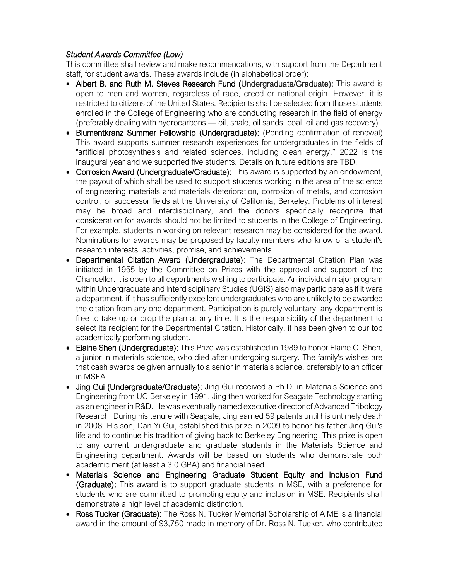# *Student Awards Committee (Low)*

This committee shall review and make recommendations, with support from the Department staff, for student awards. These awards include (in alphabetical order):

- Albert B. and Ruth M. Steves Research Fund (Undergraduate/Graduate): This award is open to men and women, regardless of race, creed or national origin. However, it is restricted to citizens of the United States. Recipients shall be selected from those students enrolled in the College of Engineering who are conducting research in the field of energy (preferably dealing with hydrocarbons — oil, shale, oil sands, coal, oil and gas recovery).
- Blumentkranz Summer Fellowship (Undergraduate): (Pending confirmation of renewal) This award supports summer research experiences for undergraduates in the fields of "artificial photosynthesis and related sciences, including clean energy." 2022 is the inaugural year and we supported five students. Details on future editions are TBD.
- Corrosion Award (Undergraduate/Graduate): This award is supported by an endowment, the payout of which shall be used to support students working in the area of the science of engineering materials and materials deterioration, corrosion of metals, and corrosion control, or successor fields at the University of California, Berkeley. Problems of interest may be broad and interdisciplinary, and the donors specifically recognize that consideration for awards should not be limited to students in the College of Engineering. For example, students in working on relevant research may be considered for the award. Nominations for awards may be proposed by faculty members who know of a student's research interests, activities, promise, and achievements.
- Departmental Citation Award (Undergraduate): The Departmental Citation Plan was initiated in 1955 by the Committee on Prizes with the approval and support of the Chancellor. It is open to all departments wishing to participate. An individual major program within Undergraduate and Interdisciplinary Studies (UGIS) also may participate as if it were a department, if it has sufficiently excellent undergraduates who are unlikely to be awarded the citation from any one department. Participation is purely voluntary; any department is free to take up or drop the plan at any time. It is the responsibility of the department to select its recipient for the Departmental Citation. Historically, it has been given to our top academically performing student.
- Elaine Shen (Undergraduate): This Prize was established in 1989 to honor Elaine C. Shen, a junior in materials science, who died after undergoing surgery. The family's wishes are that cash awards be given annually to a senior in materials science, preferably to an officer in MSEA.
- Jing Gui (Undergraduate/Graduate): Jing Gui received a Ph.D. in Materials Science and Engineering from UC Berkeley in 1991. Jing then worked for Seagate Technology starting as an engineer in R&D. He was eventually named executive director of Advanced Tribology Research. During his tenure with Seagate, Jing earned 59 patents until his untimely death in 2008. His son, Dan Yi Gui, established this prize in 2009 to honor his father Jing Gui's life and to continue his tradition of giving back to Berkeley Engineering. This prize is open to any current undergraduate and graduate students in the Materials Science and Engineering department. Awards will be based on students who demonstrate both academic merit (at least a 3.0 GPA) and financial need.
- Materials Science and Engineering Graduate Student Equity and Inclusion Fund (Graduate): This award is to support graduate students in MSE, with a preference for students who are committed to promoting equity and inclusion in MSE. Recipients shall demonstrate a high level of academic distinction.
- Ross Tucker (Graduate): The Ross N. Tucker Memorial Scholarship of AIME is a financial award in the amount of \$3,750 made in memory of Dr. Ross N. Tucker, who contributed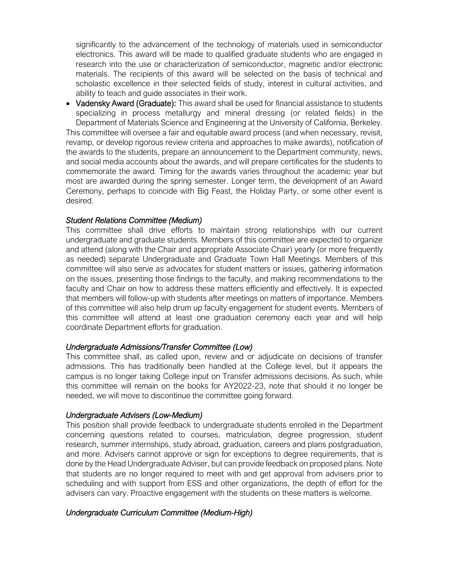significantly to the advancement of the technology of materials used in semiconductor electronics. This award will be made to qualified graduate students who are engaged in research into the use or characterization of semiconductor, magnetic and/or electronic materials. The recipients of this award will be selected on the basis of technical and scholastic excellence in their selected fields of study, interest in cultural activities, and ability to teach and guide associates in their work.

• Vadensky Award (Graduate): This award shall be used for financial assistance to students specializing in process metallurgy and mineral dressing (or related fields) in the Department of Materials Science and Engineering at the University of California, Berkeley. This committee will oversee a fair and equitable award process (and when necessary, revisit, revamp, or develop rigorous review criteria and approaches to make awards), notification of the awards to the students, prepare an announcement to the Department community, news, and social media accounts about the awards, and will prepare certificates for the students to commemorate the award. Timing for the awards varies throughout the academic year but most are awarded during the spring semester. Longer term, the development of an Award Ceremony, perhaps to coincide with Big Feast, the Holiday Party, or some other event is desired.

#### *Student Relations Committee (Medium)*

This committee shall drive efforts to maintain strong relationships with our current undergraduate and graduate students. Members of this committee are expected to organize and attend (along with the Chair and appropriate Associate Chair) yearly (or more frequently as needed) separate Undergraduate and Graduate Town Hall Meetings. Members of this committee will also serve as advocates for student matters or issues, gathering information on the issues, presenting those findings to the faculty, and making recommendations to the faculty and Chair on how to address these matters efficiently and effectively. It is expected that members will follow-up with students after meetings on matters of importance. Members of this committee will also help drum up faculty engagement for student events. Members of this committee will attend at least one graduation ceremony each year and will help coordinate Department efforts for graduation.

#### *Undergraduate Admissions/Transfer Committee (Low)*

This committee shall, as called upon, review and or adjudicate on decisions of transfer admissions. This has traditionally been handled at the College level, but it appears the campus is no longer taking College input on Transfer admissions decisions. As such, while this committee will remain on the books for AY2022-23, note that should it no longer be needed, we will move to discontinue the committee going forward.

#### *Undergraduate Advisers (Low-Medium)*

This position shall provide feedback to undergraduate students enrolled in the Department concerning questions related to courses, matriculation, degree progression, student research, summer internships, study abroad, graduation, careers and plans postgraduation, and more. Advisers cannot approve or sign for exceptions to degree requirements, that is done by the Head Undergraduate Adviser, but can provide feedback on proposed plans. Note that students are no longer required to meet with and get approval from advisers prior to scheduling and with support from ESS and other organizations, the depth of effort for the advisers can vary. Proactive engagement with the students on these matters is welcome.

#### *Undergraduate Curriculum Committee (Medium-High)*